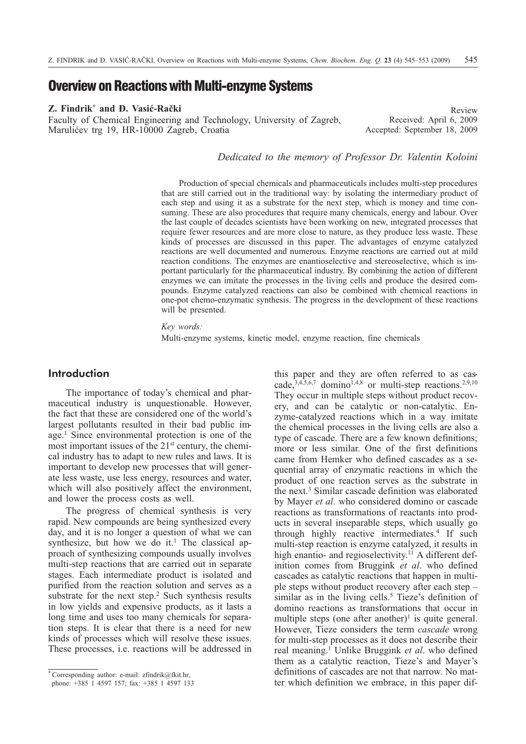# **Overview on Reactions with Multi-enzyme Systems**

### **Z. Findrik\* and Ð. Vasiæ-Raèki**

Faculty of Chemical Engineering and Technology, University of Zagreb, Marulićev trg 19, HR-10000 Zagreb, Croatia

Review Received: April 6, 2009 Accepted: September 18, 2009

*Dedicated to the memory of Professor Dr. Valentin Koloini*

Production of special chemicals and pharmaceuticals includes multi-step procedures that are still carried out in the traditional way: by isolating the intermediary product of each step and using it as a substrate for the next step, which is money and time consuming. These are also procedures that require many chemicals, energy and labour. Over the last couple of decades scientists have been working on new, integrated processes that require fewer resources and are more close to nature, as they produce less waste. These kinds of processes are discussed in this paper. The advantages of enzyme catalyzed reactions are well documented and numerous. Enzyme reactions are carried out at mild reaction conditions. The enzymes are enantioselective and stereoselective, which is important particularly for the pharmaceutical industry. By combining the action of different enzymes we can imitate the processes in the living cells and produce the desired compounds. Enzyme catalyzed reactions can also be combined with chemical reactions in one-pot chemo-enzymatic synthesis. The progress in the development of these reactions will be presented.

*Key words:*

Multi-enzyme systems, kinetic model, enzyme reaction, fine chemicals

# **Introduction**

The importance of today's chemical and pharmaceutical industry is unquestionable. However, the fact that these are considered one of the world's largest pollutants resulted in their bad public image.1 Since environmental protection is one of the most important issues of the 21st century, the chemical industry has to adapt to new rules and laws. It is important to develop new processes that will generate less waste, use less energy, resources and water, which will also positively affect the environment, and lower the process costs as well.

The progress of chemical synthesis is very rapid. New compounds are being synthesized every day, and it is no longer a question of what we can synthesize, but how we do it.<sup>1</sup> The classical approach of synthesizing compounds usually involves multi-step reactions that are carried out in separate stages. Each intermediate product is isolated and purified from the reaction solution and serves as a substrate for the next step. $2$  Such synthesis results in low yields and expensive products, as it lasts a long time and uses too many chemicals for separation steps. It is clear that there is a need for new kinds of processes which will resolve these issues. These processes, i.e. reactions will be addressed in this paper and they are often referred to as cascade, $3,4,5,6,7$  domino<sup>1,4,8</sup> or multi-step reactions.<sup>2,9,10</sup> They occur in multiple steps without product recovery, and can be catalytic or non-catalytic. Enzyme-catalyzed reactions which in a way imitate the chemical processes in the living cells are also a type of cascade. There are a few known definitions; more or less similar. One of the first definitions came from Hemker who defined cascades as a sequential array of enzymatic reactions in which the product of one reaction serves as the substrate in the next.3 Similar cascade definition was elaborated by Mayer *et al*. who considered domino or cascade reactions as transformations of reactants into products in several inseparable steps, which usually go through highly reactive intermediates.<sup>4</sup> If such multi-step reaction is enzyme catalyzed, it results in high enantio- and regioselectivity.<sup>11</sup> A different definition comes from Bruggink *et al*. who defined cascades as catalytic reactions that happen in multiple steps without product recovery after each step – similar as in the living cells.<sup>5</sup> Tieze's definition of domino reactions as transformations that occur in multiple steps (one after another)<sup>1</sup> is quite general. However, Tieze considers the term *cascade* wrong for multi-step processes as it does not describe their real meaning.1 Unlike Bruggink *et al*. who defined them as a catalytic reaction, Tieze's and Mayer's definitions of cascades are not that narrow. No matter which definition we embrace, in this paper dif-

<sup>\*</sup> Corresponding author: e-mail: zfindrik@fkit.hr,

phone: +385 1 4597 157; fax: +385 1 4597 133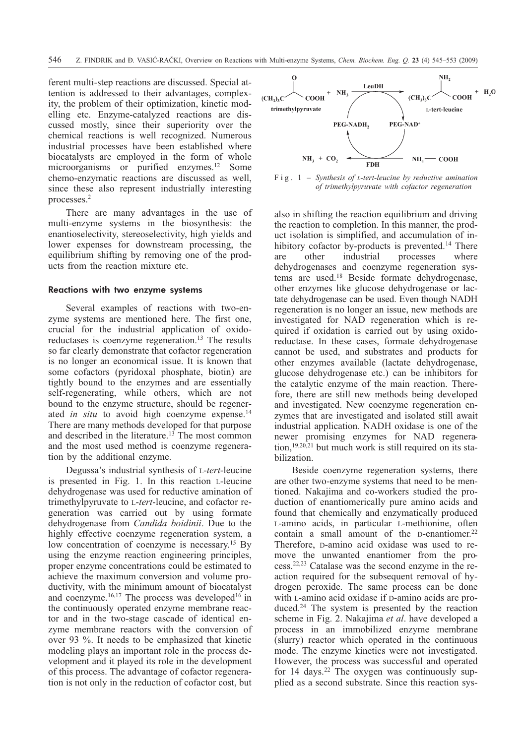ferent multi-step reactions are discussed. Special attention is addressed to their advantages, complexity, the problem of their optimization, kinetic modelling etc. Enzyme-catalyzed reactions are discussed mostly, since their superiority over the chemical reactions is well recognized. Numerous industrial processes have been established where biocatalysts are employed in the form of whole microorganisms or purified enzymes.12 Some chemo-enzymatic reactions are discussed as well, since these also represent industrially interesting processes.2

There are many advantages in the use of multi-enzyme systems in the biosynthesis: the enantioselectivity, stereoselectivity, high yields and lower expenses for downstream processing, the equilibrium shifting by removing one of the products from the reaction mixture etc.

#### Reactions with two enzyme systems

Several examples of reactions with two-enzyme systems are mentioned here. The first one, crucial for the industrial application of oxidoreductases is coenzyme regeneration.<sup>13</sup> The results so far clearly demonstrate that cofactor regeneration is no longer an economical issue. It is known that some cofactors (pyridoxal phosphate, biotin) are tightly bound to the enzymes and are essentially self-regenerating, while others, which are not bound to the enzyme structure, should be regenerated *in situ* to avoid high coenzyme expense.<sup>14</sup> There are many methods developed for that purpose and described in the literature.<sup>13</sup> The most common and the most used method is coenzyme regeneration by the additional enzyme.

Degussa's industrial synthesis of L-*tert*-leucine is presented in Fig. 1. In this reaction L-leucine dehydrogenase was used for reductive amination of trimethylpyruvate to L-*tert*-leucine, and cofactor regeneration was carried out by using formate dehydrogenase from *Candida boidinii*. Due to the highly effective coenzyme regeneration system, a low concentration of coenzyme is necessary.<sup>15</sup> By using the enzyme reaction engineering principles, proper enzyme concentrations could be estimated to achieve the maximum conversion and volume productivity, with the minimum amount of biocatalyst and coenzyme.<sup>16,17</sup> The process was developed<sup>16</sup> in the continuously operated enzyme membrane reactor and in the two-stage cascade of identical enzyme membrane reactors with the conversion of over 93 %. It needs to be emphasized that kinetic modeling plays an important role in the process development and it played its role in the development of this process. The advantage of cofactor regeneration is not only in the reduction of cofactor cost, but



Fig. 1 – *Synthesis of L-tert-leucine by reductive amination of trimethylpyruvate with cofactor regeneration*

also in shifting the reaction equilibrium and driving the reaction to completion. In this manner, the product isolation is simplified, and accumulation of inhibitory cofactor by-products is prevented.<sup>14</sup> There are other industrial processes where dehydrogenases and coenzyme regeneration systems are used.18 Beside formate dehydrogenase, other enzymes like glucose dehydrogenase or lactate dehydrogenase can be used. Even though NADH regeneration is no longer an issue, new methods are investigated for NAD regeneration which is required if oxidation is carried out by using oxidoreductase. In these cases, formate dehydrogenase cannot be used, and substrates and products for other enzymes available (lactate dehydrogenase, glucose dehydrogenase etc.) can be inhibitors for the catalytic enzyme of the main reaction. Therefore, there are still new methods being developed and investigated. New coenzyme regeneration enzymes that are investigated and isolated still await industrial application. NADH oxidase is one of the newer promising enzymes for NAD regeneration,19,20,21 but much work is still required on its stabilization.

Beside coenzyme regeneration systems, there are other two-enzyme systems that need to be mentioned. Nakajima and co-workers studied the production of enantiomerically pure amino acids and found that chemically and enzymatically produced L-amino acids, in particular L-methionine, often contain a small amount of the  $D$ -enantiomer.<sup>22</sup> Therefore, D-amino acid oxidase was used to remove the unwanted enantiomer from the process.22,23 Catalase was the second enzyme in the reaction required for the subsequent removal of hydrogen peroxide. The same process can be done with L-amino acid oxidase if D-amino acids are produced.<sup>24</sup> The system is presented by the reaction scheme in Fig. 2. Nakajima *et al*. have developed a process in an immobilized enzyme membrane (slurry) reactor which operated in the continuous mode. The enzyme kinetics were not investigated. However, the process was successful and operated for 14 days.<sup>22</sup> The oxygen was continuously supplied as a second substrate. Since this reaction sys-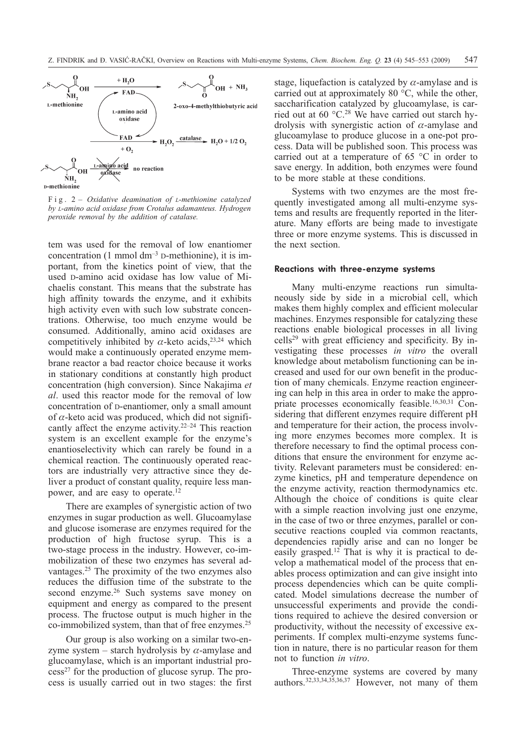

Fig. 2 – *Oxidative deamination of L-methionine catalyzed by L-amino acid oxidase from Crotalus adamanteus. Hydrogen peroxide removal by the addition of catalase.*

tem was used for the removal of low enantiomer concentration (1 mmol  $dm^{-3}$  D-methionine), it is important, from the kinetics point of view, that the used D-amino acid oxidase has low value of Michaelis constant. This means that the substrate has high affinity towards the enzyme, and it exhibits high activity even with such low substrate concentrations. Otherwise, too much enzyme would be consumed. Additionally, amino acid oxidases are competitively inhibited by  $\alpha$ -keto acids,<sup>23,24</sup> which would make a continuously operated enzyme membrane reactor a bad reactor choice because it works in stationary conditions at constantly high product concentration (high conversion). Since Nakajima *et al*. used this reactor mode for the removal of low concentration of D-enantiomer, only a small amount of  $\alpha$ -keto acid was produced, which did not significantly affect the enzyme activity.22–24 This reaction system is an excellent example for the enzyme's enantioselectivity which can rarely be found in a chemical reaction. The continuously operated reactors are industrially very attractive since they deliver a product of constant quality, require less manpower, and are easy to operate.12

There are examples of synergistic action of two enzymes in sugar production as well. Glucoamylase and glucose isomerase are enzymes required for the production of high fructose syrup. This is a two-stage process in the industry. However, co-immobilization of these two enzymes has several advantages.25 The proximity of the two enzymes also reduces the diffusion time of the substrate to the second enzyme.<sup>26</sup> Such systems save money on equipment and energy as compared to the present process. The fructose output is much higher in the co-immobilized system, than that of free enzymes.<sup>25</sup>

Our group is also working on a similar two-enzyme system – starch hydrolysis by  $\alpha$ -amylase and glucoamylase, which is an important industrial pro $cess<sup>27</sup>$  for the production of glucose syrup. The process is usually carried out in two stages: the first stage, liquefaction is catalyzed by  $\alpha$ -amylase and is carried out at approximately 80 °C, while the other, saccharification catalyzed by glucoamylase, is carried out at 60 °C.28 We have carried out starch hydrolysis with synergistic action of  $\alpha$ -amylase and glucoamylase to produce glucose in a one-pot process. Data will be published soon. This process was carried out at a temperature of 65 °C in order to save energy. In addition, both enzymes were found to be more stable at these conditions.

Systems with two enzymes are the most frequently investigated among all multi-enzyme systems and results are frequently reported in the literature. Many efforts are being made to investigate three or more enzyme systems. This is discussed in the next section.

## Reactions with three-enzyme systems

Many multi-enzyme reactions run simultaneously side by side in a microbial cell, which makes them highly complex and efficient molecular machines. Enzymes responsible for catalyzing these reactions enable biological processes in all living cells29 with great efficiency and specificity. By investigating these processes *in vitro* the overall knowledge about metabolism functioning can be increased and used for our own benefit in the production of many chemicals. Enzyme reaction engineering can help in this area in order to make the appropriate processes economically feasible.16,30,31 Considering that different enzymes require different pH and temperature for their action, the process involving more enzymes becomes more complex. It is therefore necessary to find the optimal process conditions that ensure the environment for enzyme activity. Relevant parameters must be considered: enzyme kinetics, pH and temperature dependence on the enzyme activity, reaction thermodynamics etc. Although the choice of conditions is quite clear with a simple reaction involving just one enzyme, in the case of two or three enzymes, parallel or consecutive reactions coupled via common reactants, dependencies rapidly arise and can no longer be easily grasped.12 That is why it is practical to develop a mathematical model of the process that enables process optimization and can give insight into process dependencies which can be quite complicated. Model simulations decrease the number of unsuccessful experiments and provide the conditions required to achieve the desired conversion or productivity, without the necessity of excessive experiments. If complex multi-enzyme systems function in nature, there is no particular reason for them not to function *in vitro*.

Three-enzyme systems are covered by many authors.32,33,34,35,36,37 However, not many of them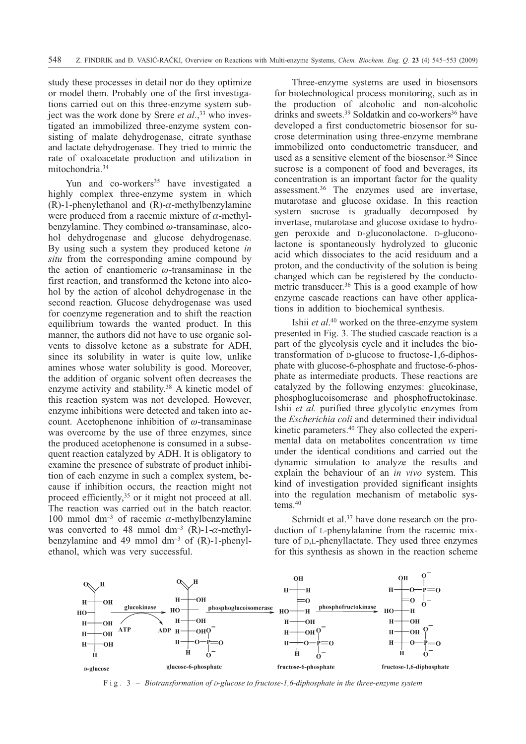study these processes in detail nor do they optimize or model them. Probably one of the first investigations carried out on this three-enzyme system subject was the work done by Srere *et al.*,<sup>33</sup> who investigated an immobilized three-enzyme system consisting of malate dehydrogenase, citrate synthase and lactate dehydrogenase. They tried to mimic the rate of oxaloacetate production and utilization in mitochondria.34

Yun and co-workers<sup>35</sup> have investigated a highly complex three-enzyme system in which  $(R)$ -1-phenylethanol and  $(R)$ - $\alpha$ -methylbenzylamine were produced from a racemic mixture of  $\alpha$ -methylbenzylamine. They combined  $\omega$ -transaminase, alcohol dehydrogenase and glucose dehydrogenase. By using such a system they produced ketone *in situ* from the corresponding amine compound by the action of enantiomeric  $\omega$ -transaminase in the first reaction, and transformed the ketone into alcohol by the action of alcohol dehydrogenase in the second reaction. Glucose dehydrogenase was used for coenzyme regeneration and to shift the reaction equilibrium towards the wanted product. In this manner, the authors did not have to use organic solvents to dissolve ketone as a substrate for ADH, since its solubility in water is quite low, unlike amines whose water solubility is good. Moreover, the addition of organic solvent often decreases the enzyme activity and stability.<sup>38</sup> A kinetic model of this reaction system was not developed. However, enzyme inhibitions were detected and taken into account. Acetophenone inhibition of  $\omega$ -transaminase was overcome by the use of three enzymes, since the produced acetophenone is consumed in a subsequent reaction catalyzed by ADH. It is obligatory to examine the presence of substrate of product inhibition of each enzyme in such a complex system, because if inhibition occurs, the reaction might not proceed efficiently,<sup>35</sup> or it might not proceed at all. The reaction was carried out in the batch reactor. 100 mmol dm<sup>-3</sup> of racemic  $\alpha$ -methylbenzylamine was converted to 48 mmol  $dm^{-3}$  (R)-1- $\alpha$ -methylbenzylamine and 49 mmol  $dm^{-3}$  of  $(R)$ -1-phenylethanol, which was very successful.

Three-enzyme systems are used in biosensors for biotechnological process monitoring, such as in the production of alcoholic and non-alcoholic drinks and sweets.<sup>39</sup> Soldatkin and co-workers<sup>36</sup> have developed a first conductometric biosensor for sucrose determination using three-enzyme membrane immobilized onto conductometric transducer, and used as a sensitive element of the biosensor.<sup>36</sup> Since sucrose is a component of food and beverages, its concentration is an important factor for the quality assessment.36 The enzymes used are invertase, mutarotase and glucose oxidase. In this reaction system sucrose is gradually decomposed by invertase, mutarotase and glucose oxidase to hydrogen peroxide and D-gluconolactone. D-gluconolactone is spontaneously hydrolyzed to gluconic acid which dissociates to the acid residuum and a proton, and the conductivity of the solution is being changed which can be registered by the conductometric transducer.36 This is a good example of how enzyme cascade reactions can have other applications in addition to biochemical synthesis.

Ishii *et al*. <sup>40</sup> worked on the three-enzyme system presented in Fig. 3. The studied cascade reaction is a part of the glycolysis cycle and it includes the biotransformation of D-glucose to fructose-1,6-diphosphate with glucose-6-phosphate and fructose-6-phosphate as intermediate products. These reactions are catalyzed by the following enzymes: glucokinase, phosphoglucoisomerase and phosphofructokinase. Ishii *et al.* purified three glycolytic enzymes from the *Escherichia coli* and determined their individual kinetic parameters.40 They also collected the experimental data on metabolites concentration *vs* time under the identical conditions and carried out the dynamic simulation to analyze the results and explain the behaviour of an *in vivo* system. This kind of investigation provided significant insights into the regulation mechanism of metabolic systems. $40$ 

Schmidt et al.<sup>37</sup> have done research on the production of L-phenylalanine from the racemic mixture of D,L-phenyllactate. They used three enzymes for this synthesis as shown in the reaction scheme



Fig. 3 – *Biotransformation of D-glucose to fructose-1,6-diphosphate in the three-enzyme system*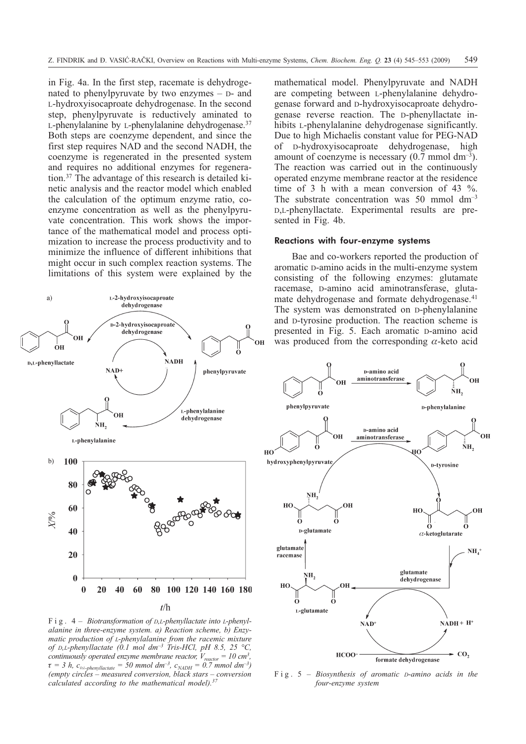in Fig. 4a. In the first step, racemate is dehydrogenated to phenylpyruvate by two enzymes – D- and L-hydroxyisocaproate dehydrogenase. In the second step, phenylpyruvate is reductively aminated to L-phenylalanine by L-phenylalanine dehydrogenase.<sup>37</sup> Both steps are coenzyme dependent, and since the first step requires NAD and the second NADH, the coenzyme is regenerated in the presented system and requires no additional enzymes for regeneration.37 The advantage of this research is detailed kinetic analysis and the reactor model which enabled the calculation of the optimum enzyme ratio, coenzyme concentration as well as the phenylpyruvate concentration. This work shows the importance of the mathematical model and process optimization to increase the process productivity and to minimize the influence of different inhibitions that might occur in such complex reaction systems. The limitations of this system were explained by the



Fig. 4 – *Biotransformation of D,L-phenyllactate into L-phenylalanine in three-enzyme system. a) Reaction scheme, b) Enzymatic production of L-phenylalanine from the racemic mixture of D,L-phenyllactate (0.1 mol dm–3 Tris-HCl, pH 8.5, 25 °C, continuously operated enzyme membrane reactor,*  $V_{\text{reactor}} = 10 \text{ cm}^3$ ,  $\tau = 3$  *h, c<sub>DL-phenyllactate*  $= 50$  *mmol dm<sup>-3</sup>, c<sub>NADH</sub>*  $= 0.7$  *mmol dm<sup>-3</sup>)*</sub> *(empty circles – measured conversion, black stars – conversion calculated according to the mathematical model).37*

mathematical model. Phenylpyruvate and NADH are competing between L-phenylalanine dehydrogenase forward and D-hydroxyisocaproate dehydrogenase reverse reaction. The D-phenyllactate inhibits L-phenylalanine dehydrogenase significantly. Due to high Michaelis constant value for PEG-NAD of D-hydroxyisocaproate dehydrogenase, high amount of coenzyme is necessary  $(0.7 \text{ mmol dm}^{-3})$ . The reaction was carried out in the continuously operated enzyme membrane reactor at the residence time of 3 h with a mean conversion of 43 %. The substrate concentration was  $50 \text{ mmol dm}^{-3}$ D,L-phenyllactate. Experimental results are presented in Fig. 4b.

#### Reactions with four-enzyme systems

Bae and co-workers reported the production of aromatic D-amino acids in the multi-enzyme system consisting of the following enzymes: glutamate racemase, D-amino acid aminotransferase, glutamate dehydrogenase and formate dehydrogenase.<sup>41</sup> The system was demonstrated on D-phenylalanine and D-tyrosine production. The reaction scheme is presented in Fig. 5. Each aromatic D-amino acid was produced from the corresponding  $\alpha$ -keto acid



Fig. 5 – *Biosynthesis of aromatic D-amino acids in the four-enzyme system*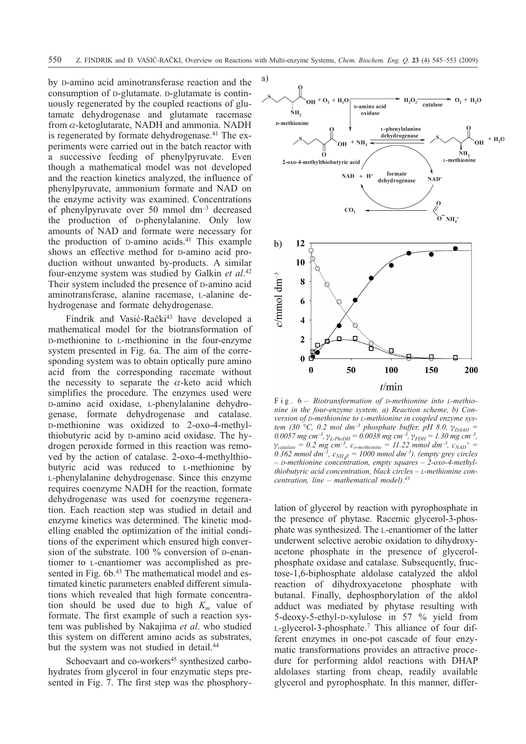by D-amino acid aminotransferase reaction and the consumption of D-glutamate. D-glutamate is continuously regenerated by the coupled reactions of glutamate dehydrogenase and glutamate racemase from  $\alpha$ -ketoglutarate, NADH and ammonia. NADH is regenerated by formate dehydrogenase.<sup>41</sup> The experiments were carried out in the batch reactor with a successive feeding of phenylpyruvate. Even though a mathematical model was not developed and the reaction kinetics analyzed, the influence of phenylpyruvate, ammonium formate and NAD on the enzyme activity was examined. Concentrations of phenylpyruvate over 50 mmol dm–3 decreased the production of D-phenylalanine. Only low amounts of NAD and formate were necessary for the production of D-amino acids.<sup>41</sup> This example shows an effective method for D-amino acid production without unwanted by-products. A similar four-enzyme system was studied by Galkin *et al*. 42 Their system included the presence of D-amino acid aminotransferase, alanine racemase, L-alanine dehydrogenase and formate dehydrogenase.

Findrik and Vasić-Rački<sup>43</sup> have developed a mathematical model for the biotransformation of D-methionine to L-methionine in the four-enzyme system presented in Fig. 6a. The aim of the corresponding system was to obtain optically pure amino acid from the corresponding racemate without the necessity to separate the  $\alpha$ -keto acid which simplifies the procedure. The enzymes used were D-amino acid oxidase, L-phenylalanine dehydrogenase, formate dehydrogenase and catalase. D-methionine was oxidized to 2-oxo-4-methylthiobutyric acid by D-amino acid oxidase. The hydrogen peroxide formed in this reaction was removed by the action of catalase. 2-oxo-4-methylthiobutyric acid was reduced to L-methionine by L-phenylalanine dehydrogenase. Since this enzyme requires coenzyme NADH for the reaction, formate dehydrogenase was used for coenzyme regeneration. Each reaction step was studied in detail and enzyme kinetics was determined. The kinetic modelling enabled the optimization of the initial conditions of the experiment which ensured high conversion of the substrate. 100 % conversion of D-enantiomer to L-enantiomer was accomplished as presented in Fig. 6b.<sup>43</sup> The mathematical model and estimated kinetic parameters enabled different simulations which revealed that high formate concentration should be used due to high  $K_m$  value of formate. The first example of such a reaction system was published by Nakajima *et al*. who studied this system on different amino acids as substrates, but the system was not studied in detail.<sup>44</sup>

Schoevaart and co-workers<sup>45</sup> synthesized carbohydrates from glycerol in four enzymatic steps presented in Fig. 7. The first step was the phosphory-



Fig. 6 – *Biotransformation of D-methionine into L-methionine in the four-enzyme system. a) Reaction scheme, b) Conversion of D-methionine to L-methionine in coupled enzyme system (30 °C, 0.2 mol dm<sup>-3</sup> phosphate buffer, pH 8.0,*  $\gamma_{DAAO}$  =  $0.0057$  mg cm<sup>-3</sup>,  $\gamma_{L-PheDH} = 0.0038$  mg cm<sup>-3</sup>,  $\gamma_{FDH} = 1.30$  mg cm<sup>-3</sup>,  $\gamma_{\text{catalase}} = 0.2 \text{ mg cm}^{-3}, c_{\text{D-methionine}} = 11.22 \text{ mmol dm}^{-3}, c_{\text{NAD}}^{+} =$ 0.362 mmol dm<sup>-3</sup>,  $c_{NH_4F} = 1000$  mmol dm<sup>-3</sup>). (empty grey circles *– D-methionine concentration, empty squares – 2-oxo-4-methylthiobutyric acid concentration, black circles – L-methionine concentration, line – mathematical model).43*

lation of glycerol by reaction with pyrophosphate in the presence of phytase. Racemic glycerol-3-phosphate was synthesized. The L-enantiomer of the latter underwent selective aerobic oxidation to dihydroxyacetone phosphate in the presence of glycerolphosphate oxidase and catalase. Subsequently, fructose-1,6-biphosphate aldolase catalyzed the aldol reaction of dihydroxyacetone phosphate with butanal. Finally, dephosphorylation of the aldol adduct was mediated by phytase resulting with 5-deoxy-5-ethyl-D-xylulose in 57 % yield from L-glycerol-3-phosphate.7 This alliance of four different enzymes in one-pot cascade of four enzymatic transformations provides an attractive procedure for performing aldol reactions with DHAP aldolases starting from cheap, readily available glycerol and pyrophosphate. In this manner, differ-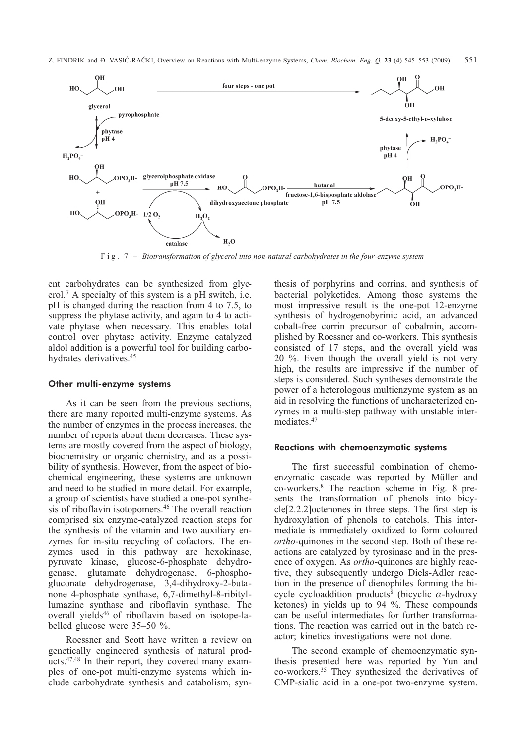

Fig. 7 – *Biotransformation of glycerol into non-natural carbohydrates in the four-enzyme system*

ent carbohydrates can be synthesized from glycerol.7 A specialty of this system is a pH switch, i.e. pH is changed during the reaction from 4 to 7.5, to suppress the phytase activity, and again to 4 to activate phytase when necessary. This enables total control over phytase activity. Enzyme catalyzed aldol addition is a powerful tool for building carbohydrates derivatives.<sup>45</sup>

#### Other multi-enzyme systems

As it can be seen from the previous sections, there are many reported multi-enzyme systems. As the number of enzymes in the process increases, the number of reports about them decreases. These systems are mostly covered from the aspect of biology, biochemistry or organic chemistry, and as a possibility of synthesis. However, from the aspect of biochemical engineering, these systems are unknown and need to be studied in more detail. For example, a group of scientists have studied a one-pot synthesis of riboflavin isotopomers.46 The overall reaction comprised six enzyme-catalyzed reaction steps for the synthesis of the vitamin and two auxiliary enzymes for in-situ recycling of cofactors. The enzymes used in this pathway are hexokinase, pyruvate kinase, glucose-6-phosphate dehydrogenase, glutamate dehydrogenase, 6-phosphogluconate dehydrogenase, 3,4-dihydroxy-2-butanone 4-phosphate synthase, 6,7-dimethyl-8-ribityllumazine synthase and riboflavin synthase. The overall yields<sup>46</sup> of riboflavin based on isotope-labelled glucose were 35–50 %.

Roessner and Scott have written a review on genetically engineered synthesis of natural products.47,48 In their report, they covered many examples of one-pot multi-enzyme systems which include carbohydrate synthesis and catabolism, synthesis of porphyrins and corrins, and synthesis of bacterial polyketides. Among those systems the most impressive result is the one-pot 12-enzyme synthesis of hydrogenobyrinic acid, an advanced cobalt-free corrin precursor of cobalmin, accomplished by Roessner and co-workers. This synthesis consisted of 17 steps, and the overall yield was 20 %. Even though the overall yield is not very high, the results are impressive if the number of steps is considered. Such syntheses demonstrate the power of a heterologous multienzyme system as an aid in resolving the functions of uncharacterized enzymes in a multi-step pathway with unstable intermediates.<sup>47</sup>

#### Reactions with chemoenzymatic systems

The first successful combination of chemoenzymatic cascade was reported by Müller and co-workers.8 The reaction scheme in Fig. 8 presents the transformation of phenols into bicycle[2.2.2]octenones in three steps. The first step is hydroxylation of phenols to catehols. This intermediate is immediately oxidized to form coloured *ortho*-quinones in the second step. Both of these reactions are catalyzed by tyrosinase and in the presence of oxygen. As *ortho*-quinones are highly reactive, they subsequently undergo Diels-Adler reaction in the presence of dienophiles forming the bicycle cycloaddition products<sup>8</sup> (bicyclic  $\alpha$ -hydroxy ketones) in yields up to 94 %. These compounds can be useful intermediates for further transformations. The reaction was carried out in the batch reactor; kinetics investigations were not done.

The second example of chemoenzymatic synthesis presented here was reported by Yun and co-workers.35 They synthesized the derivatives of CMP-sialic acid in a one-pot two-enzyme system.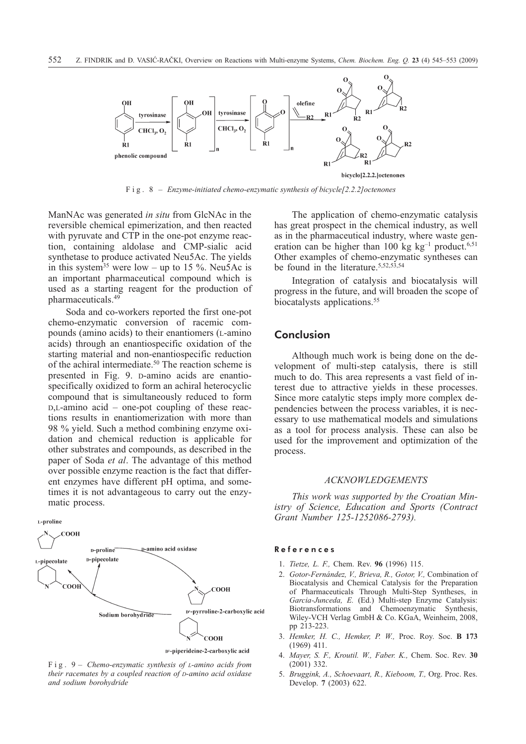

Fig. 8 – *Enzyme-initiated chemo-enzymatic synthesis of bicycle[2.2.2]octenones*

ManNAc was generated *in situ* from GlcNAc in the reversible chemical epimerization, and then reacted with pyruvate and CTP in the one-pot enzyme reaction, containing aldolase and CMP-sialic acid synthetase to produce activated Neu5Ac. The yields in this system<sup>35</sup> were low – up to 15 %. Neu5Ac is an important pharmaceutical compound which is used as a starting reagent for the production of pharmaceuticals.49

Soda and co-workers reported the first one-pot chemo-enzymatic conversion of racemic compounds (amino acids) to their enantiomers (L-amino acids) through an enantiospecific oxidation of the starting material and non-enantiospecific reduction of the achiral intermediate.50 The reaction scheme is presented in Fig. 9. D-amino acids are enantiospecifically oxidized to form an achiral heterocyclic compound that is simultaneously reduced to form D,L-amino acid – one-pot coupling of these reactions results in enantiomerization with more than 98 % yield. Such a method combining enzyme oxidation and chemical reduction is applicable for other substrates and compounds, as described in the paper of Soda *et al*. The advantage of this method over possible enzyme reaction is the fact that different enzymes have different pH optima, and sometimes it is not advantageous to carry out the enzymatic process.





Fig. 9 – *Chemo-enzymatic synthesis of L-amino acids from their racemates by a coupled reaction of D-amino acid oxidase and sodium borohydride*

The application of chemo-enzymatic catalysis has great prospect in the chemical industry, as well as in the pharmaceutical industry, where waste generation can be higher than 100 kg  $kg^{-1}$  product.<sup>6,51</sup> Other examples of chemo-enzymatic syntheses can be found in the literature.<sup>5,52,53,54</sup>

Integration of catalysis and biocatalysis will progress in the future, and will broaden the scope of biocatalysts applications.<sup>55</sup>

## **Conclusion**

Although much work is being done on the development of multi-step catalysis, there is still much to do. This area represents a vast field of interest due to attractive yields in these processes. Since more catalytic steps imply more complex dependencies between the process variables, it is necessary to use mathematical models and simulations as a tool for process analysis. These can also be used for the improvement and optimization of the process.

### *ACKNOWLEDGEMENTS*

*This work was supported by the Croatian Ministry of Science, Education and Sports (Contract Grant Number 125-1252086-2793).*

#### References

- 1. *Tietze, L. F.,* Chem. Rev. **96** (1996) 115.
- 2. *Gotor-Fernández, V., Brieva, R., Gotor, V.,* Combination of Biocatalysis and Chemical Catalysis for the Preparation of Pharmaceuticals Through Multi-Step Syntheses, in *Garcia-Junceda, E.* (Ed.) Multi-step Enzyme Catalysis: Biotransformations and Chemoenzymatic Synthesis, Wiley-VCH Verlag GmbH & Co. KGaA, Weinheim, 2008, pp 213-223.
- 3. *Hemker, H. C., Hemker, P. W.,* Proc. Roy. Soc. **B 173** (1969) 411.
- 4. *Mayer, S. F., Kroutil. W., Faber. K.,* Chem. Soc. Rev. **30** (2001) 332.
- 5. *Bruggink, A., Schoevaart, R., Kieboom, T.,* Org. Proc. Res. Develop. **7** (2003) 622.